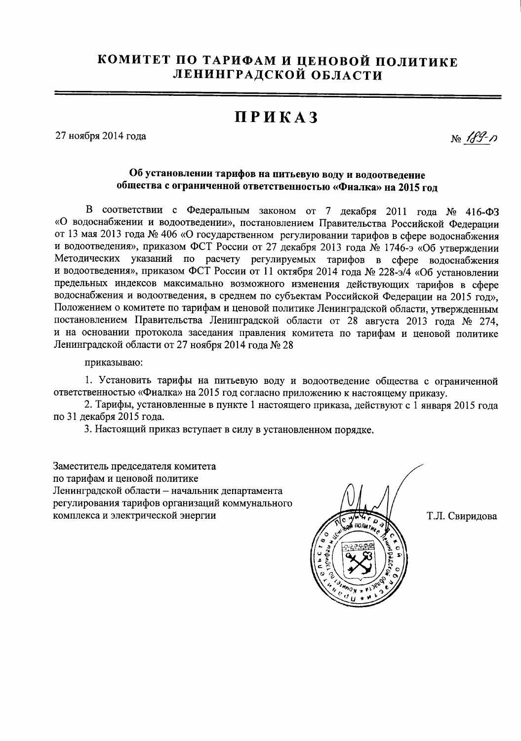## КОМИТЕТ ПО ТАРИФАМ И ЦЕНОВОЙ ПОЛИТИКЕ ЛЕНИНГРАДСКОЙ ОБЛАСТИ

## **ПРИКАЗ**

27 ноября 2014 года

No 189-17

## Об установлении тарифов на питьевую воду и водоотведение общества с ограниченной ответственностью «Фиалка» на 2015 год

В соответствии с Федеральным законом от 7 декабря 2011 года № 416-ФЗ «О водоснабжении и водоотведении», постановлением Правительства Российской Федерации от 13 мая 2013 года № 406 «О государственном регулировании тарифов в сфере водоснабжения и водоотведения», приказом ФСТ России от 27 декабря 2013 года № 1746-э «Об утверждении Методических указаний по расчету регулируемых тарифов в сфере водоснабжения и водоотведения», приказом ФСТ России от 11 октября 2014 года № 228-э/4 «Об установлении предельных индексов максимально возможного изменения действующих тарифов в сфере водоснабжения и водоотведения, в среднем по субъектам Российской Федерации на 2015 год». Положением о комитете по тарифам и ценовой политике Ленинградской области, утвержденным постановлением Правительства Ленинградской области от 28 августа 2013 года № 274, и на основании протокола заседания правления комитета по тарифам и ценовой политике Ленинградской области от 27 ноября 2014 года № 28

приказываю:

1. Установить тарифы на питьевую воду и водоотведение общества с ограниченной ответственностью «Фиалка» на 2015 год согласно приложению к настоящему приказу.

2. Тарифы, установленные в пункте 1 настоящего приказа, действуют с 1 января 2015 года по 31 декабря 2015 года.

3. Настоящий приказ вступает в силу в установленном порядке.

Заместитель председателя комитета по тарифам и ценовой политике Ленинградской области - начальник департамента регулирования тарифов организаций коммунального комплекса и электрической энергии



Т.Л. Свиридова